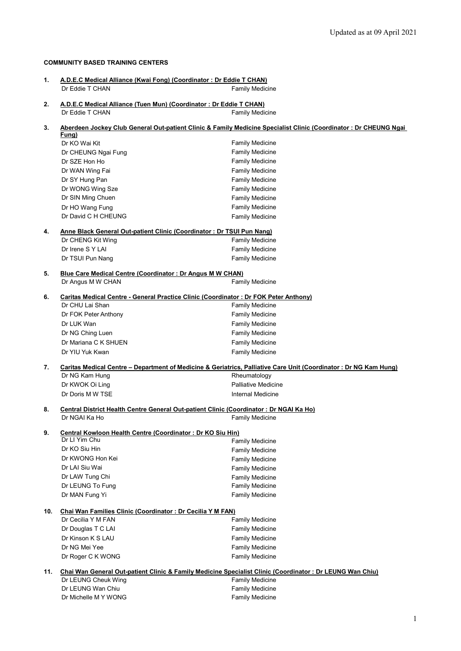## **COMMUNITY BASED TRAINING CENTERS**

| 1.  | A.D.E.C Medical Alliance (Kwai Fong) (Coordinator: Dr Eddie T CHAN)<br>Dr Eddie T CHAN                                    | <b>Family Medicine</b>                                                                                            |  |
|-----|---------------------------------------------------------------------------------------------------------------------------|-------------------------------------------------------------------------------------------------------------------|--|
| 2.  | A.D.E.C Medical Alliance (Tuen Mun) (Coordinator: Dr Eddie T CHAN)                                                        |                                                                                                                   |  |
|     | Dr Eddie T CHAN                                                                                                           | <b>Family Medicine</b>                                                                                            |  |
| 3.  | Aberdeen Jockey Club General Out-patient Clinic & Family Medicine Specialist Clinic (Coordinator: Dr CHEUNG Ngai<br>Fung) |                                                                                                                   |  |
|     | Dr KO Wai Kit                                                                                                             | <b>Family Medicine</b>                                                                                            |  |
|     | Dr CHEUNG Ngai Fung                                                                                                       | <b>Family Medicine</b>                                                                                            |  |
|     | Dr SZE Hon Ho                                                                                                             | <b>Family Medicine</b>                                                                                            |  |
|     | Dr WAN Wing Fai                                                                                                           | <b>Family Medicine</b>                                                                                            |  |
|     | Dr SY Hung Pan                                                                                                            | <b>Family Medicine</b>                                                                                            |  |
|     | Dr WONG Wing Sze                                                                                                          | <b>Family Medicine</b>                                                                                            |  |
|     | Dr SIN Ming Chuen                                                                                                         | <b>Family Medicine</b>                                                                                            |  |
|     | Dr HO Wang Fung                                                                                                           | <b>Family Medicine</b>                                                                                            |  |
|     | Dr David C H CHEUNG                                                                                                       | <b>Family Medicine</b>                                                                                            |  |
| 4.  | Anne Black General Out-patient Clinic (Coordinator: Dr TSUI Pun Nang)                                                     |                                                                                                                   |  |
|     | Dr CHENG Kit Wing                                                                                                         | <b>Family Medicine</b>                                                                                            |  |
|     | Dr Irene S Y LAI                                                                                                          | <b>Family Medicine</b>                                                                                            |  |
|     | Dr TSUI Pun Nang                                                                                                          | <b>Family Medicine</b>                                                                                            |  |
| 5.  | <b>Blue Care Medical Centre (Coordinator: Dr Angus M W CHAN)</b>                                                          |                                                                                                                   |  |
|     | Dr Angus M W CHAN                                                                                                         | <b>Family Medicine</b>                                                                                            |  |
| 6.  | Caritas Medical Centre - General Practice Clinic (Coordinator: Dr FOK Peter Anthony)                                      |                                                                                                                   |  |
|     | Dr CHU Lai Shan                                                                                                           | Family Medicine                                                                                                   |  |
|     | Dr FOK Peter Anthony                                                                                                      | <b>Family Medicine</b>                                                                                            |  |
|     | Dr LUK Wan                                                                                                                | <b>Family Medicine</b>                                                                                            |  |
|     | Dr NG Ching Luen                                                                                                          | <b>Family Medicine</b>                                                                                            |  |
|     | Dr Mariana C K SHUEN                                                                                                      | <b>Family Medicine</b>                                                                                            |  |
|     | Dr YIU Yuk Kwan                                                                                                           | <b>Family Medicine</b>                                                                                            |  |
| 7.  |                                                                                                                           | Caritas Medical Centre - Department of Medicine & Geriatrics, Palliative Care Unit (Coordinator : Dr NG Kam Hung) |  |
|     | Dr NG Kam Hung                                                                                                            | Rheumatology                                                                                                      |  |
|     | Dr KWOK Oi Ling                                                                                                           | <b>Palliative Medicine</b>                                                                                        |  |
|     | Dr Doris M W TSE                                                                                                          | <b>Internal Medicine</b>                                                                                          |  |
| 8.  | Central District Health Centre General Out-patient Clinic (Coordinator: Dr NGAI Ka Ho)                                    |                                                                                                                   |  |
|     | Dr NGAI Ka Ho                                                                                                             | <b>Family Medicine</b>                                                                                            |  |
| 9.  | Central Kowloon Health Centre (Coordinator: Dr KO Siu Hin)<br>Dr Ll Yim Chu                                               |                                                                                                                   |  |
|     | Dr KO Siu Hin                                                                                                             | <b>Family Medicine</b>                                                                                            |  |
|     |                                                                                                                           | <b>Family Medicine</b>                                                                                            |  |
|     | Dr KWONG Hon Kei<br>Dr LAI Siu Wai                                                                                        | <b>Family Medicine</b>                                                                                            |  |
|     |                                                                                                                           | <b>Family Medicine</b>                                                                                            |  |
|     | Dr LAW Tung Chi                                                                                                           | <b>Family Medicine</b>                                                                                            |  |
|     | Dr LEUNG To Fung                                                                                                          | <b>Family Medicine</b>                                                                                            |  |
|     | Dr MAN Fung Yi                                                                                                            | <b>Family Medicine</b>                                                                                            |  |
| 10. | Chai Wan Families Clinic (Coordinator: Dr Cecilia Y M FAN)                                                                |                                                                                                                   |  |
|     | Dr Cecilia Y M FAN                                                                                                        | <b>Family Medicine</b>                                                                                            |  |
|     | Dr Douglas T C LAI                                                                                                        | <b>Family Medicine</b>                                                                                            |  |
|     | Dr Kinson K S LAU                                                                                                         | <b>Family Medicine</b>                                                                                            |  |
|     | Dr NG Mei Yee                                                                                                             | <b>Family Medicine</b>                                                                                            |  |
|     | Dr Roger C K WONG                                                                                                         | <b>Family Medicine</b>                                                                                            |  |
| 11. |                                                                                                                           | Chai Wan General Out-patient Clinic & Family Medicine Specialist Clinic (Coordinator : Dr LEUNG Wan Chiu)         |  |
|     | Dr LEUNG Cheuk Wing                                                                                                       | <b>Family Medicine</b>                                                                                            |  |
|     | Dr LEUNG Wan Chiu                                                                                                         | <b>Family Medicine</b>                                                                                            |  |
|     | Dr Michelle M Y WONG                                                                                                      | <b>Family Medicine</b>                                                                                            |  |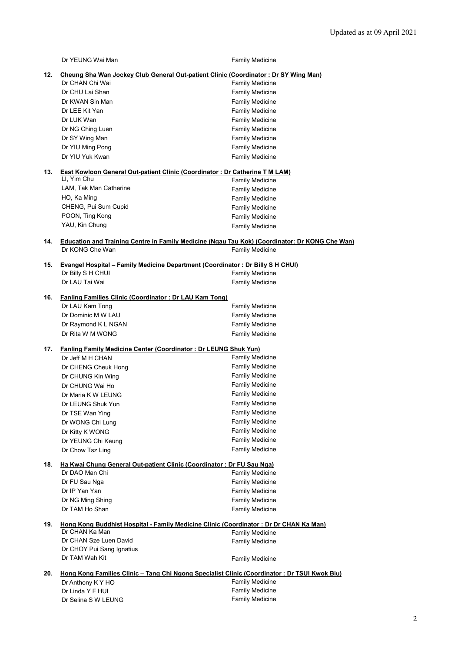|     | Dr YEUNG Wai Man                                                                                      | <b>Family Medicine</b>                           |  |
|-----|-------------------------------------------------------------------------------------------------------|--------------------------------------------------|--|
| 12. | Cheung Sha Wan Jockey Club General Out-patient Clinic (Coordinator: Dr SY Wing Man)                   |                                                  |  |
|     | Dr CHAN Chi Wai                                                                                       | <b>Family Medicine</b>                           |  |
|     | Dr CHU Lai Shan                                                                                       | <b>Family Medicine</b>                           |  |
|     | Dr KWAN Sin Man                                                                                       | <b>Family Medicine</b>                           |  |
|     | Dr LEE Kit Yan                                                                                        | <b>Family Medicine</b>                           |  |
|     | Dr LUK Wan                                                                                            | <b>Family Medicine</b>                           |  |
|     | Dr NG Ching Luen                                                                                      | <b>Family Medicine</b>                           |  |
|     | Dr SY Wing Man                                                                                        | <b>Family Medicine</b>                           |  |
|     | Dr YIU Ming Pong<br>Dr YIU Yuk Kwan                                                                   | <b>Family Medicine</b><br><b>Family Medicine</b> |  |
| 13. | <b>East Kowloon General Out-patient Clinic (Coordinator: Dr Catherine T M LAM)</b>                    |                                                  |  |
|     | LI, Yim Chu                                                                                           | <b>Family Medicine</b>                           |  |
|     | LAM, Tak Man Catherine                                                                                | <b>Family Medicine</b>                           |  |
|     | HO, Ka Ming                                                                                           | <b>Family Medicine</b>                           |  |
|     | CHENG, Pui Sum Cupid                                                                                  | <b>Family Medicine</b>                           |  |
|     | POON, Ting Kong                                                                                       | <b>Family Medicine</b>                           |  |
|     | YAU, Kin Chung                                                                                        | <b>Family Medicine</b>                           |  |
| 14. | <b>Education and Training Centre in Family Medicine (Ngau Tau Kok) (Coordinator: Dr KONG Che Wan)</b> |                                                  |  |
|     | Dr KONG Che Wan                                                                                       | <b>Family Medicine</b>                           |  |
| 15. | <b>Evangel Hospital - Family Medicine Department (Coordinator: Dr Billy S H CHUI)</b>                 |                                                  |  |
|     | Dr Billy S H CHUI                                                                                     | <b>Family Medicine</b>                           |  |
|     | Dr LAU Tai Wai                                                                                        | <b>Family Medicine</b>                           |  |
| 16. | <b>Fanling Families Clinic (Coordinator: Dr LAU Kam Tong)</b>                                         |                                                  |  |
|     | Dr LAU Kam Tong                                                                                       | <b>Family Medicine</b>                           |  |
|     | Dr Dominic M W LAU                                                                                    | <b>Family Medicine</b>                           |  |
|     | Dr Raymond K L NGAN                                                                                   | <b>Family Medicine</b>                           |  |
|     | Dr Rita W M WONG                                                                                      | <b>Family Medicine</b>                           |  |
| 17. | <b>Fanling Family Medicine Center (Coordinator: Dr LEUNG Shuk Yun)</b>                                |                                                  |  |
|     | Dr Jeff M H CHAN                                                                                      | Family Medicine                                  |  |
|     | Dr CHENG Cheuk Hong                                                                                   | <b>Family Medicine</b>                           |  |
|     | Dr CHUNG Kin Wing                                                                                     | <b>Family Medicine</b>                           |  |
|     | Dr CHUNG Wai Ho                                                                                       | <b>Family Medicine</b>                           |  |
|     | Dr Maria K W LEUNG                                                                                    | <b>Family Medicine</b>                           |  |
|     | Dr LEUNG Shuk Yun                                                                                     | <b>Family Medicine</b>                           |  |
|     | Dr TSE Wan Ying                                                                                       | <b>Family Medicine</b>                           |  |
|     | Dr WONG Chi Lung                                                                                      | <b>Family Medicine</b>                           |  |
|     | Dr Kitty K WONG                                                                                       | <b>Family Medicine</b>                           |  |
|     | Dr YEUNG Chi Keung                                                                                    | <b>Family Medicine</b>                           |  |
|     | Dr Chow Tsz Ling                                                                                      | <b>Family Medicine</b>                           |  |
| 18. | Ha Kwai Chung General Out-patient Clinic (Coordinator: Dr FU Sau Nga)                                 |                                                  |  |
|     | Dr DAO Man Chi                                                                                        | <b>Family Medicine</b>                           |  |
|     | Dr FU Sau Nga                                                                                         | <b>Family Medicine</b>                           |  |
|     | Dr IP Yan Yan                                                                                         | <b>Family Medicine</b>                           |  |
|     | Dr NG Ming Shing                                                                                      | <b>Family Medicine</b>                           |  |
|     | Dr TAM Ho Shan                                                                                        | <b>Family Medicine</b>                           |  |
| 19. | Hong Kong Buddhist Hospital - Family Medicine Clinic (Coordinator: Dr Dr CHAN Ka Man)                 |                                                  |  |
|     | Dr CHAN Ka Man                                                                                        | <b>Family Medicine</b>                           |  |
|     | Dr CHAN Sze Luen David                                                                                | <b>Family Medicine</b>                           |  |
|     | Dr CHOY Pui Sang Ignatius                                                                             |                                                  |  |
|     | Dr TAM Wah Kit                                                                                        | <b>Family Medicine</b>                           |  |
| 20. | Hong Kong Families Clinic - Tang Chi Ngong Specialist Clinic (Coordinator: Dr TSUI Kwok Biu)          |                                                  |  |
|     | Dr Anthony K Y HO                                                                                     | <b>Family Medicine</b>                           |  |
|     | Dr Linda Y F HUI                                                                                      | Family Medicine                                  |  |
|     | Dr Selina S W LEUNG                                                                                   | <b>Family Medicine</b>                           |  |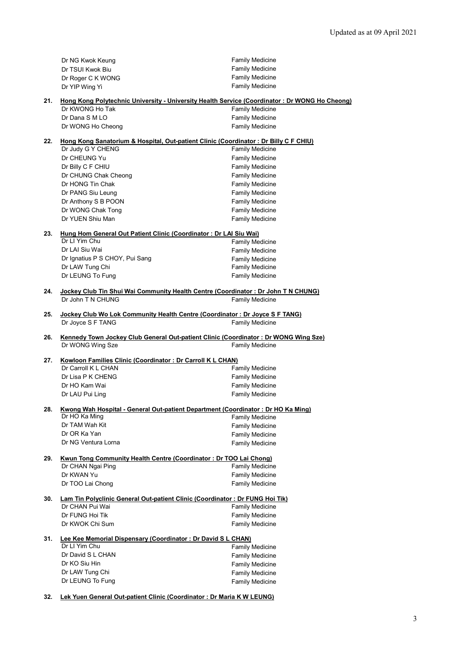|     | Dr NG Kwok Keung                                                                              | <b>Family Medicine</b> |
|-----|-----------------------------------------------------------------------------------------------|------------------------|
|     | Dr TSUI Kwok Biu                                                                              | <b>Family Medicine</b> |
|     | Dr Roger C K WONG                                                                             | <b>Family Medicine</b> |
|     | Dr YIP Wing Yi                                                                                | <b>Family Medicine</b> |
|     |                                                                                               |                        |
| 21. | Hong Kong Polytechnic University - University Health Service (Coordinator: Dr WONG Ho Cheong) |                        |
|     | Dr KWONG Ho Tak                                                                               | <b>Family Medicine</b> |
|     | Dr Dana S M LO                                                                                | <b>Family Medicine</b> |
|     | Dr WONG Ho Cheong                                                                             | <b>Family Medicine</b> |
| 22. | Hong Kong Sanatorium & Hospital, Out-patient Clinic (Coordinator: Dr Billy C F CHIU)          |                        |
|     | Dr Judy G Y CHENG                                                                             | <b>Family Medicine</b> |
|     | Dr CHEUNG Yu                                                                                  | <b>Family Medicine</b> |
|     | Dr Billy C F CHIU                                                                             | <b>Family Medicine</b> |
|     | Dr CHUNG Chak Cheong                                                                          | <b>Family Medicine</b> |
|     | Dr HONG Tin Chak                                                                              | <b>Family Medicine</b> |
|     | Dr PANG Siu Leung                                                                             | <b>Family Medicine</b> |
|     | Dr Anthony S B POON                                                                           | <b>Family Medicine</b> |
|     | Dr WONG Chak Tong                                                                             | <b>Family Medicine</b> |
|     | Dr YUEN Shiu Man                                                                              | <b>Family Medicine</b> |
|     |                                                                                               |                        |
| 23. | Hung Hom General Out Patient Clinic (Coordinator: Dr LAI Siu Wai)                             |                        |
|     | Dr LI Yim Chu                                                                                 | <b>Family Medicine</b> |
|     | Dr LAI Siu Wai                                                                                | Family Medicine        |
|     | Dr Ignatius P S CHOY, Pui Sang                                                                | <b>Family Medicine</b> |
|     | Dr LAW Tung Chi                                                                               | <b>Family Medicine</b> |
|     | Dr LEUNG To Fung                                                                              | <b>Family Medicine</b> |
|     |                                                                                               |                        |
| 24. | Jockey Club Tin Shui Wai Community Health Centre (Coordinator : Dr John T N CHUNG)            |                        |
|     | Dr John T N CHUNG                                                                             | <b>Family Medicine</b> |
| 25. | Jockey Club Wo Lok Community Health Centre (Coordinator: Dr Joyce S F TANG)                   |                        |
|     | Dr Joyce S F TANG                                                                             | <b>Family Medicine</b> |
|     |                                                                                               |                        |
| 26. | Kennedy Town Jockey Club General Out-patient Clinic (Coordinator: Dr WONG Wing Sze)           |                        |
|     | Dr WONG Wing Sze                                                                              | <b>Family Medicine</b> |
|     |                                                                                               |                        |
| 27. | Kowloon Families Clinic (Coordinator: Dr Carroll K L CHAN)                                    |                        |
|     | Dr Carroll K L CHAN                                                                           | <b>Family Medicine</b> |
|     | Dr Lisa P K CHENG                                                                             | <b>Family Medicine</b> |
|     | Dr HO Kam Wai                                                                                 | <b>Family Medicine</b> |
|     | Dr LAU Pui Ling                                                                               | <b>Family Medicine</b> |
| 28. | Kwong Wah Hospital - General Out-patient Department (Coordinator: Dr HO Ka Ming)              |                        |
|     | Dr HO Ka Ming                                                                                 | <b>Family Medicine</b> |
|     | Dr TAM Wah Kit                                                                                | <b>Family Medicine</b> |
|     | Dr OR Ka Yan                                                                                  | <b>Family Medicine</b> |
|     | Dr NG Ventura Lorna                                                                           | <b>Family Medicine</b> |
|     |                                                                                               |                        |
| 29. | Kwun Tong Community Health Centre (Coordinator: Dr TOO Lai Chong)                             |                        |
|     | Dr CHAN Ngai Ping                                                                             | Family Medicine        |
|     | Dr KWAN Yu                                                                                    | Family Medicine        |
|     | Dr TOO Lai Chong                                                                              | <b>Family Medicine</b> |
|     |                                                                                               |                        |
| 30. | Lam Tin Polyclinic General Out-patient Clinic (Coordinator: Dr FUNG Hoi Tik)                  |                        |
|     | Dr CHAN Pui Wai                                                                               | <b>Family Medicine</b> |
|     | Dr FUNG Hoi Tik                                                                               | <b>Family Medicine</b> |
|     | Dr KWOK Chi Sum                                                                               | <b>Family Medicine</b> |
|     |                                                                                               |                        |
| 31. | Lee Kee Memorial Dispensary (Coordinator: Dr David S L CHAN)<br>Dr LI Yim Chu                 | <b>Family Medicine</b> |
|     | Dr David S L CHAN                                                                             | <b>Family Medicine</b> |
|     | Dr KO Siu Hin                                                                                 | <b>Family Medicine</b> |
|     | Dr LAW Tung Chi                                                                               | <b>Family Medicine</b> |
|     | Dr LEUNG To Fung                                                                              |                        |
|     |                                                                                               | <b>Family Medicine</b> |
|     |                                                                                               |                        |

**32. Lek Yuen General Out-patient Clinic (Coordinator : Dr Maria K W LEUNG)**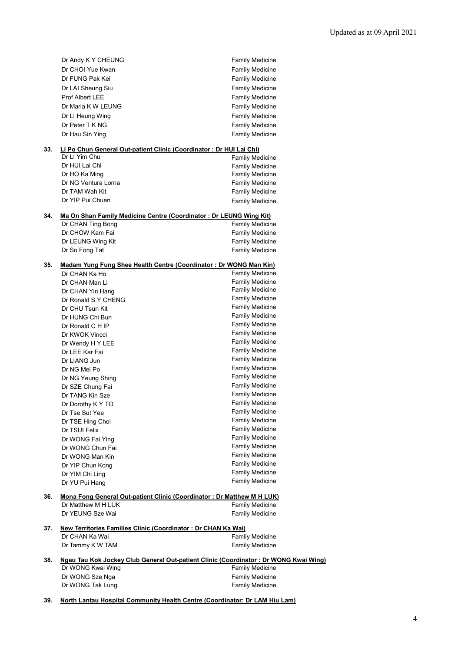|     | Dr Andy K Y CHEUNG                                                                                  | <b>Family Medicine</b> |
|-----|-----------------------------------------------------------------------------------------------------|------------------------|
|     | Dr CHOI Yue Kwan                                                                                    | <b>Family Medicine</b> |
|     | Dr FUNG Pak Kei                                                                                     | <b>Family Medicine</b> |
|     | Dr LAI Sheung Siu                                                                                   | <b>Family Medicine</b> |
|     | Prof Albert LEE                                                                                     | <b>Family Medicine</b> |
|     | Dr Maria K W LEUNG                                                                                  | <b>Family Medicine</b> |
|     | Dr LI Heung Wing                                                                                    | <b>Family Medicine</b> |
|     | Dr Peter T K NG                                                                                     | <b>Family Medicine</b> |
|     | Dr Hau Sin Ying                                                                                     | <b>Family Medicine</b> |
|     |                                                                                                     |                        |
| 33. | Li Po Chun General Out-patient Clinic (Coordinator: Dr HUI Lai Chi)                                 |                        |
|     | Dr LI Yim Chu                                                                                       | <b>Family Medicine</b> |
|     | Dr HUI Lai Chi                                                                                      | <b>Family Medicine</b> |
|     | Dr HO Ka Ming                                                                                       | <b>Family Medicine</b> |
|     | Dr NG Ventura Lorna                                                                                 | <b>Family Medicine</b> |
|     | Dr TAM Wah Kit                                                                                      | <b>Family Medicine</b> |
|     | Dr YIP Pui Chuen                                                                                    | <b>Family Medicine</b> |
| 34. | Ma On Shan Family Medicine Centre (Coordinator: Dr LEUNG Wing Kit)                                  |                        |
|     | Dr CHAN Ting Bong                                                                                   | Family Medicine        |
|     | Dr CHOW Kam Fai                                                                                     | Family Medicine        |
|     | Dr LEUNG Wing Kit                                                                                   | Family Medicine        |
|     | Dr So Fong Tat                                                                                      | <b>Family Medicine</b> |
|     |                                                                                                     |                        |
| 35. | Madam Yung Fung Shee Health Centre (Coordinator: Dr WONG Man Kin)                                   |                        |
|     | Dr CHAN Ka Ho                                                                                       | <b>Family Medicine</b> |
|     | Dr CHAN Man Li                                                                                      | <b>Family Medicine</b> |
|     | Dr CHAN Yin Hang                                                                                    | <b>Family Medicine</b> |
|     | Dr Ronald S Y CHENG                                                                                 | <b>Family Medicine</b> |
|     | Dr CHU Tsun Kit                                                                                     | <b>Family Medicine</b> |
|     | Dr HUNG Chi Bun                                                                                     | <b>Family Medicine</b> |
|     | Dr Ronald C H IP                                                                                    | <b>Family Medicine</b> |
|     | Dr KWOK Vincci                                                                                      | <b>Family Medicine</b> |
|     | Dr Wendy H Y LEE                                                                                    | <b>Family Medicine</b> |
|     | Dr LEE Kar Fai                                                                                      | <b>Family Medicine</b> |
|     | Dr LIANG Jun                                                                                        | <b>Family Medicine</b> |
|     | Dr NG Mei Po                                                                                        | <b>Family Medicine</b> |
|     | Dr NG Yeung Shing                                                                                   | <b>Family Medicine</b> |
|     | Dr SZE Chung Fai                                                                                    | <b>Family Medicine</b> |
|     | Dr TANG Kin Sze                                                                                     | <b>Family Medicine</b> |
|     | Dr Dorothy K Y TO                                                                                   | <b>Family Medicine</b> |
|     | Dr Tse Sut Yee                                                                                      | <b>Family Medicine</b> |
|     | Dr TSE Hing Choi                                                                                    | <b>Family Medicine</b> |
|     | Dr TSUI Felix                                                                                       | Family Medicine        |
|     | Dr WONG Fai Ying                                                                                    | Family Medicine        |
|     | Dr WONG Chun Fai                                                                                    | Family Medicine        |
|     | Dr WONG Man Kin                                                                                     | <b>Family Medicine</b> |
|     | Dr YIP Chun Kong                                                                                    | <b>Family Medicine</b> |
|     | Dr YIM Chi Ling                                                                                     | Family Medicine        |
|     | Dr YU Pui Hang                                                                                      | Family Medicine        |
|     |                                                                                                     |                        |
| 36. | <b>Mona Fong General Out-patient Clinic (Coordinator: Dr Matthew M H LUK)</b><br>Dr Matthew M H LUK | Family Medicine        |
|     | Dr YEUNG Sze Wai                                                                                    |                        |
|     |                                                                                                     | <b>Family Medicine</b> |
| 37. | New Territories Families Clinic (Coordinator: Dr CHAN Ka Wai)                                       |                        |
|     | Dr CHAN Ka Wai                                                                                      | <b>Family Medicine</b> |
|     | Dr Tammy K W TAM                                                                                    | <b>Family Medicine</b> |
|     |                                                                                                     |                        |
| 38. | Ngau Tau Kok Jockey Club General Out-patient Clinic (Coordinator: Dr WONG Kwai Wing)                |                        |
|     | Dr WONG Kwai Wing                                                                                   | <b>Family Medicine</b> |
|     | Dr WONG Sze Nga                                                                                     | <b>Family Medicine</b> |
|     | Dr WONG Tak Lung                                                                                    | <b>Family Medicine</b> |

**39. North Lantau Hospital Community Health Centre (Coordinator: Dr LAM Hiu Lam)**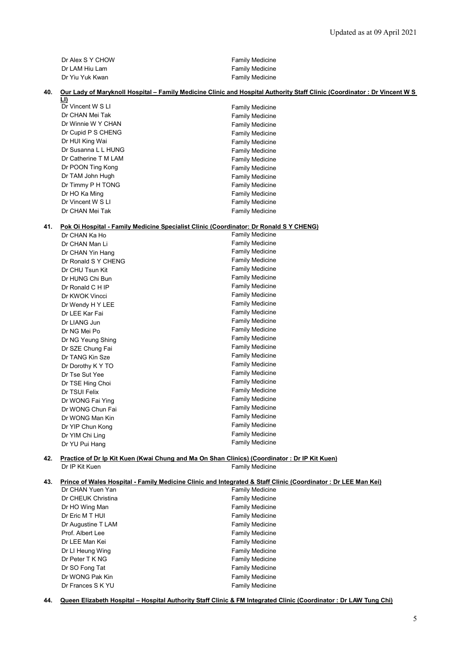| Dr Alex S Y CHOW | <b>Family Medicine</b> |
|------------------|------------------------|
| Dr LAM Hiu Lam   | <b>Family Medicine</b> |
| Dr Yiu Yuk Kwan  | <b>Family Medicine</b> |

#### **40. Our Lady of Maryknoll Hospital – Family Medicine Clinic and Hospital Authority Staff Clinic (Coordinator : Dr Vincent W S**

| <u>LI)</u>           |                        |
|----------------------|------------------------|
| Dr Vincent W S LI    | <b>Family Medicine</b> |
| Dr CHAN Mei Tak      | <b>Family Medicine</b> |
| Dr Winnie W Y CHAN   | <b>Family Medicine</b> |
| Dr Cupid P S CHENG   | <b>Family Medicine</b> |
| Dr HUI King Wai      | <b>Family Medicine</b> |
| Dr Susanna L L HUNG  | <b>Family Medicine</b> |
| Dr Catherine T M LAM | <b>Family Medicine</b> |
| Dr POON Ting Kong    | <b>Family Medicine</b> |
| Dr TAM John Hugh     | <b>Family Medicine</b> |
| Dr Timmy P H TONG    | <b>Family Medicine</b> |
| Dr HO Ka Ming        | <b>Family Medicine</b> |
| Dr Vincent W S LI    | <b>Family Medicine</b> |
| Dr CHAN Mei Tak      | <b>Family Medicine</b> |

## **41. Pok Oi Hospital - Family Medicine Specialist Clinic (Coordinator: Dr Ronald S Y CHENG)**

| <b>Family Medicine</b> |
|------------------------|
| Family Medicine        |
| <b>Family Medicine</b> |
| <b>Family Medicine</b> |
| <b>Family Medicine</b> |
| <b>Family Medicine</b> |
| Family Medicine        |
| <b>Family Medicine</b> |
| <b>Family Medicine</b> |
| <b>Family Medicine</b> |
| <b>Family Medicine</b> |
| Family Medicine        |
| <b>Family Medicine</b> |
| <b>Family Medicine</b> |
| <b>Family Medicine</b> |
| <b>Family Medicine</b> |
| <b>Family Medicine</b> |
| <b>Family Medicine</b> |
| <b>Family Medicine</b> |
| Family Medicine        |
| <b>Family Medicine</b> |
| <b>Family Medicine</b> |
| <b>Family Medicine</b> |
| <b>Family Medicine</b> |
| <b>Family Medicine</b> |
|                        |

#### **42. Practice of Dr Ip Kit Kuen (Kwai Chung and Ma On Shan Clinics) (Coordinator : Dr IP Kit Kuen)** Dr IP Kit Kuen Family Medicine

# **43. Prince of Wales Hospital - Family Medicine Clinic and Integrated & Staff Clinic (Coordinator : Dr LEE Man Kei)**

| Dr CHAN Yuen Yan   | <b>Family Medicine</b> |
|--------------------|------------------------|
| Dr CHEUK Christina | <b>Family Medicine</b> |
| Dr HO Wing Man     | <b>Family Medicine</b> |
| Dr Eric M T HUI    | <b>Family Medicine</b> |
| Dr Augustine T LAM | <b>Family Medicine</b> |
| Prof. Albert Lee   | <b>Family Medicine</b> |
| Dr LEE Man Kei     | <b>Family Medicine</b> |
| Dr LI Heung Wing   | <b>Family Medicine</b> |
| Dr Peter T K NG    | <b>Family Medicine</b> |
| Dr SO Fong Tat     | <b>Family Medicine</b> |
| Dr WONG Pak Kin    | <b>Family Medicine</b> |
| Dr Frances S K YU  | <b>Family Medicine</b> |

**44. Queen Elizabeth Hospital – Hospital Authority Staff Clinic & FM Integrated Clinic (Coordinator : Dr LAW Tung Chi)**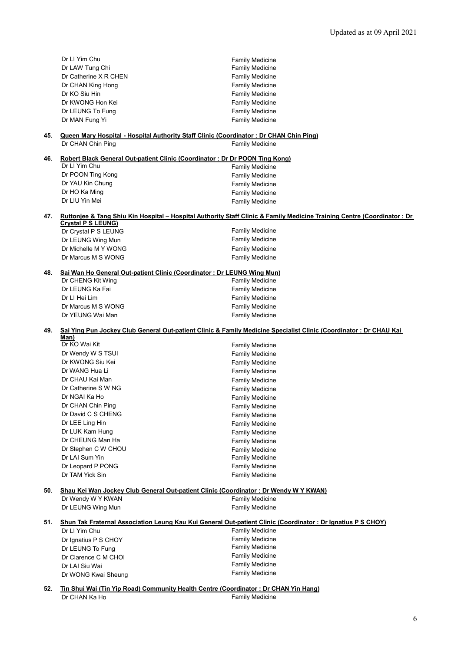|     | Dr LI Yim Chu                                                          | <b>Family Medicine</b>                                                                                                  |  |
|-----|------------------------------------------------------------------------|-------------------------------------------------------------------------------------------------------------------------|--|
|     | Dr LAW Tung Chi                                                        | <b>Family Medicine</b>                                                                                                  |  |
|     | Dr Catherine X R CHEN                                                  | <b>Family Medicine</b>                                                                                                  |  |
|     | Dr CHAN King Hong                                                      | <b>Family Medicine</b>                                                                                                  |  |
|     | Dr KO Siu Hin                                                          | <b>Family Medicine</b>                                                                                                  |  |
|     | Dr KWONG Hon Kei                                                       | <b>Family Medicine</b>                                                                                                  |  |
|     | Dr LEUNG To Fung                                                       | <b>Family Medicine</b>                                                                                                  |  |
|     | Dr MAN Fung Yi                                                         | <b>Family Medicine</b>                                                                                                  |  |
| 45. | Dr CHAN Chin Ping                                                      | <b>Queen Mary Hospital - Hospital Authority Staff Clinic (Coordinator: Dr CHAN Chin Ping)</b><br><b>Family Medicine</b> |  |
| 46. |                                                                        | Robert Black General Out-patient Clinic (Coordinator: Dr Dr POON Ting Kong)                                             |  |
|     | Dr LI Yim Chu                                                          | <b>Family Medicine</b>                                                                                                  |  |
|     | Dr POON Ting Kong                                                      | <b>Family Medicine</b>                                                                                                  |  |
|     | Dr YAU Kin Chung                                                       | <b>Family Medicine</b>                                                                                                  |  |
|     | Dr HO Ka Ming                                                          | <b>Family Medicine</b>                                                                                                  |  |
|     | Dr LIU Yin Mei                                                         | <b>Family Medicine</b>                                                                                                  |  |
| 47. |                                                                        | Ruttonjee & Tang Shiu Kin Hospital - Hospital Authority Staff Clinic & Family Medicine Training Centre (Coordinator: Dr |  |
|     | <b>Crystal P S LEUNG)</b>                                              |                                                                                                                         |  |
|     | Dr Crystal P S LEUNG                                                   | <b>Family Medicine</b>                                                                                                  |  |
|     | Dr LEUNG Wing Mun                                                      | <b>Family Medicine</b>                                                                                                  |  |
|     | Dr Michelle M Y WONG                                                   | <b>Family Medicine</b>                                                                                                  |  |
|     | Dr Marcus M S WONG                                                     | <b>Family Medicine</b>                                                                                                  |  |
| 48. | Sai Wan Ho General Out-patient Clinic (Coordinator: Dr LEUNG Wing Mun) |                                                                                                                         |  |
|     | Dr CHENG Kit Wing                                                      | <b>Family Medicine</b>                                                                                                  |  |
|     | Dr LEUNG Ka Fai                                                        | <b>Family Medicine</b>                                                                                                  |  |
|     | Dr LI Hei Lim                                                          | <b>Family Medicine</b>                                                                                                  |  |
|     | Dr Marcus M S WONG                                                     | <b>Family Medicine</b>                                                                                                  |  |
|     | Dr YEUNG Wai Man                                                       | <b>Family Medicine</b>                                                                                                  |  |
| 49. |                                                                        | Sai Ying Pun Jockey Club General Out-patient Clinic & Family Medicine Specialist Clinic (Coordinator: Dr CHAU Kai       |  |
|     | Man)<br>Dr KO Wai Kit                                                  | <b>Family Medicine</b>                                                                                                  |  |
|     | Dr Wendy W S TSUI                                                      | <b>Family Medicine</b>                                                                                                  |  |
|     | Dr KWONG Siu Kei                                                       | <b>Family Medicine</b>                                                                                                  |  |
|     | Dr WANG Hua Li                                                         | <b>Family Medicine</b>                                                                                                  |  |
|     | Dr CHAU Kai Man                                                        | <b>Family Medicine</b>                                                                                                  |  |
|     | Dr Catherine S W NG                                                    | <b>Family Medicine</b>                                                                                                  |  |
|     | Dr NGAI Ka Ho                                                          | <b>Family Medicine</b>                                                                                                  |  |
|     | Dr CHAN Chin Ping                                                      | <b>Family Medicine</b>                                                                                                  |  |
|     | Dr David C S CHENG                                                     | <b>Family Medicine</b>                                                                                                  |  |
|     | Dr LEE Ling Hin                                                        | <b>Family Medicine</b>                                                                                                  |  |
|     | Dr LUK Kam Hung                                                        | <b>Family Medicine</b>                                                                                                  |  |
|     | Dr CHEUNG Man Ha                                                       | <b>Family Medicine</b>                                                                                                  |  |
|     | Dr Stephen C W CHOU                                                    | <b>Family Medicine</b>                                                                                                  |  |
|     | Dr LAI Sum Yin                                                         | <b>Family Medicine</b>                                                                                                  |  |
|     | Dr Leopard P PONG                                                      | <b>Family Medicine</b>                                                                                                  |  |
|     | Dr TAM Yick Sin                                                        | <b>Family Medicine</b>                                                                                                  |  |
| 50. |                                                                        | Shau Kei Wan Jockey Club General Out-patient Clinic (Coordinator: Dr Wendy W Y KWAN)                                    |  |
|     | Dr Wendy W Y KWAN                                                      | <b>Family Medicine</b>                                                                                                  |  |
|     | Dr LEUNG Wing Mun                                                      | <b>Family Medicine</b>                                                                                                  |  |
| 51. |                                                                        | Shun Tak Fraternal Association Leung Kau Kui General Out-patient Clinic (Coordinator: Dr Ignatius P S CHOY)             |  |
|     | Dr LI Yim Chu                                                          | <b>Family Medicine</b>                                                                                                  |  |
|     | Dr Ignatius P S CHOY                                                   | <b>Family Medicine</b>                                                                                                  |  |
|     | Dr LEUNG To Fung                                                       | <b>Family Medicine</b>                                                                                                  |  |
|     | Dr Clarence C M CHOI                                                   | <b>Family Medicine</b>                                                                                                  |  |
|     | Dr LAI Siu Wai                                                         | <b>Family Medicine</b>                                                                                                  |  |
|     | Dr WONG Kwai Sheung                                                    | <b>Family Medicine</b>                                                                                                  |  |
| 52. |                                                                        | Tin Shui Wai (Tin Yip Road) Community Health Centre (Coordinator: Dr CHAN Yin Hang)                                     |  |
|     |                                                                        |                                                                                                                         |  |

Dr CHAN Ka Ho **Family Medicine**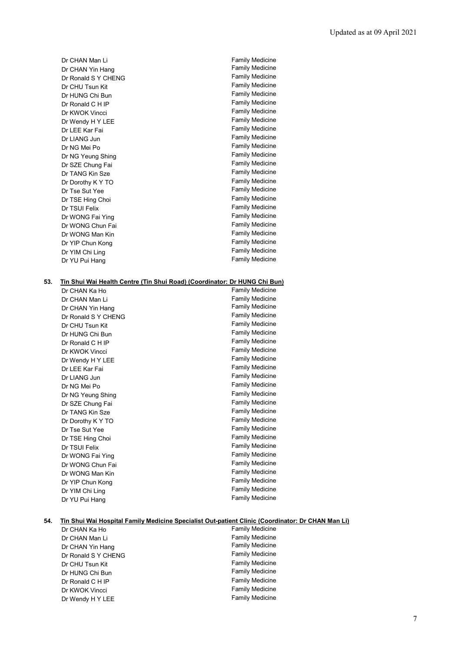| Dr CHAN Man Li      | <b>Family Medicine</b> |
|---------------------|------------------------|
| Dr CHAN Yin Hang    | <b>Family Medicine</b> |
| Dr Ronald S Y CHENG | <b>Family Medicine</b> |
| Dr CHU Tsun Kit     | <b>Family Medicine</b> |
| Dr HUNG Chi Bun     | <b>Family Medicine</b> |
| Dr Ronald C H IP    | <b>Family Medicine</b> |
| Dr KWOK Vincci      | <b>Family Medicine</b> |
| Dr Wendy H Y LEE    | <b>Family Medicine</b> |
| Dr LEE Kar Fai      | <b>Family Medicine</b> |
| Dr LIANG Jun        | <b>Family Medicine</b> |
| Dr NG Mei Po        | <b>Family Medicine</b> |
| Dr NG Yeung Shing   | <b>Family Medicine</b> |
| Dr SZE Chung Fai    | <b>Family Medicine</b> |
| Dr TANG Kin Sze     | <b>Family Medicine</b> |
| Dr Dorothy K Y TO   | <b>Family Medicine</b> |
| Dr Tse Sut Yee      | <b>Family Medicine</b> |
| Dr TSE Hing Choi    | <b>Family Medicine</b> |
| Dr TSUI Felix       | <b>Family Medicine</b> |
| Dr WONG Fai Ying    | <b>Family Medicine</b> |
| Dr WONG Chun Fai    | <b>Family Medicine</b> |
| Dr WONG Man Kin     | <b>Family Medicine</b> |
| Dr YIP Chun Kong    | <b>Family Medicine</b> |
| Dr YIM Chi Ling     | <b>Family Medicine</b> |
| Dr YU Pui Hang      | <b>Family Medicine</b> |
|                     |                        |

## **53. Tin Shui Wai Health Centre (Tin Shui Road) (Coordinator: Dr HUNG Chi Bun)**

| Dr CHAN Ka Ho       | Family Medicine        |
|---------------------|------------------------|
| Dr CHAN Man Li      | <b>Family Medicine</b> |
| Dr CHAN Yin Hang    | <b>Family Medicine</b> |
| Dr Ronald S Y CHENG | <b>Family Medicine</b> |
| Dr CHU Tsun Kit     | <b>Family Medicine</b> |
| Dr HUNG Chi Bun     | <b>Family Medicine</b> |
| Dr Ronald C H IP    | <b>Family Medicine</b> |
| Dr KWOK Vincci      | <b>Family Medicine</b> |
| Dr Wendy H Y LEE    | <b>Family Medicine</b> |
| Dr LEE Kar Fai      | <b>Family Medicine</b> |
| Dr LIANG Jun        | <b>Family Medicine</b> |
| Dr NG Mei Po        | <b>Family Medicine</b> |
| Dr NG Yeung Shing   | <b>Family Medicine</b> |
| Dr SZE Chung Fai    | <b>Family Medicine</b> |
| Dr TANG Kin Sze     | <b>Family Medicine</b> |
| Dr Dorothy K Y TO   | <b>Family Medicine</b> |
| Dr Tse Sut Yee      | Family Medicine        |
| Dr TSE Hing Choi    | Family Medicine        |
| Dr TSUI Felix       | <b>Family Medicine</b> |
| Dr WONG Fai Ying    | <b>Family Medicine</b> |
| Dr WONG Chun Fai    | <b>Family Medicine</b> |
| Dr WONG Man Kin     | <b>Family Medicine</b> |
| Dr YIP Chun Kong    | <b>Family Medicine</b> |
| Dr YIM Chi Ling     | <b>Family Medicine</b> |
| Dr YU Pui Hang      | <b>Family Medicine</b> |

### **54. Tin Shui Wai Hospital Family Medicine Specialist Out-patient Clinic (Coordinator: Dr CHAN Man Li)**

| Dr CHAN Ka Ho       | <b>Family Medicine</b> |
|---------------------|------------------------|
| Dr CHAN Man Li      | <b>Family Medicine</b> |
| Dr CHAN Yin Hang    | <b>Family Medicine</b> |
| Dr Ronald S Y CHENG | <b>Family Medicine</b> |
| Dr CHU Tsun Kit     | <b>Family Medicine</b> |
| Dr HUNG Chi Bun     | <b>Family Medicine</b> |
| Dr Ronald C H IP    | <b>Family Medicine</b> |
| Dr KWOK Vincci      | <b>Family Medicine</b> |
| Dr Wendy H Y LEE    | <b>Family Medicine</b> |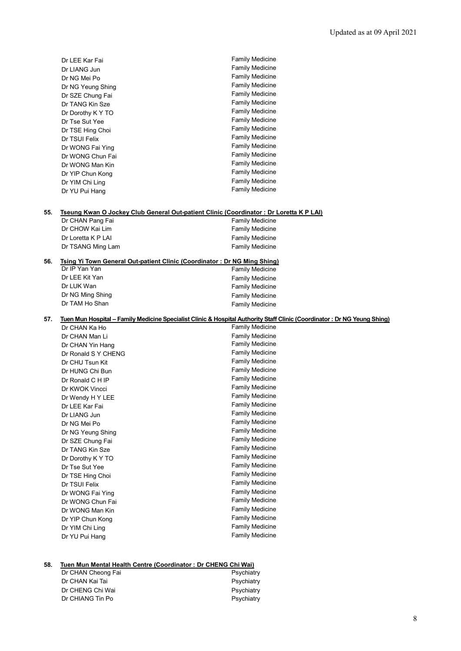|     | Dr LEE Kar Fai                                                                                             | <b>Family Medicine</b>                                                                                                   |
|-----|------------------------------------------------------------------------------------------------------------|--------------------------------------------------------------------------------------------------------------------------|
|     | Dr LIANG Jun                                                                                               | <b>Family Medicine</b>                                                                                                   |
|     | Dr NG Mei Po                                                                                               | Family Medicine                                                                                                          |
|     | Dr NG Yeung Shing                                                                                          | <b>Family Medicine</b>                                                                                                   |
|     | Dr SZE Chung Fai                                                                                           | <b>Family Medicine</b>                                                                                                   |
|     | Dr TANG Kin Sze                                                                                            | <b>Family Medicine</b>                                                                                                   |
|     | Dr Dorothy K Y TO                                                                                          | <b>Family Medicine</b>                                                                                                   |
|     | Dr Tse Sut Yee                                                                                             | <b>Family Medicine</b>                                                                                                   |
|     | Dr TSE Hing Choi                                                                                           | <b>Family Medicine</b>                                                                                                   |
|     | Dr TSUI Felix                                                                                              | <b>Family Medicine</b>                                                                                                   |
|     | Dr WONG Fai Ying                                                                                           | <b>Family Medicine</b>                                                                                                   |
|     | Dr WONG Chun Fai                                                                                           | <b>Family Medicine</b>                                                                                                   |
|     | Dr WONG Man Kin                                                                                            | <b>Family Medicine</b>                                                                                                   |
|     | Dr YIP Chun Kong                                                                                           | <b>Family Medicine</b>                                                                                                   |
|     | Dr YIM Chi Ling                                                                                            | <b>Family Medicine</b>                                                                                                   |
|     | Dr YU Pui Hang                                                                                             | <b>Family Medicine</b>                                                                                                   |
|     |                                                                                                            |                                                                                                                          |
| 55. | Tseung Kwan O Jockey Club General Out-patient Clinic (Coordinator: Dr Loretta K P LAI)<br>Dr CHAN Pang Fai | <b>Family Medicine</b>                                                                                                   |
|     | Dr CHOW Kai Lim                                                                                            | <b>Family Medicine</b>                                                                                                   |
|     | Dr Loretta K P LAI                                                                                         | <b>Family Medicine</b>                                                                                                   |
|     | Dr TSANG Ming Lam                                                                                          | <b>Family Medicine</b>                                                                                                   |
|     |                                                                                                            |                                                                                                                          |
| 56. | Tsing Yi Town General Out-patient Clinic (Coordinator: Dr NG Ming Shing)<br>Dr IP Yan Yan                  |                                                                                                                          |
|     | Dr LEE Kit Yan                                                                                             | <b>Family Medicine</b>                                                                                                   |
|     | Dr LUK Wan                                                                                                 | <b>Family Medicine</b>                                                                                                   |
|     |                                                                                                            | <b>Family Medicine</b>                                                                                                   |
|     | Dr NG Ming Shing<br>Dr TAM Ho Shan                                                                         | <b>Family Medicine</b>                                                                                                   |
|     |                                                                                                            | <b>Family Medicine</b>                                                                                                   |
| 57. |                                                                                                            | Tuen Mun Hospital – Family Medicine Specialist Clinic & Hospital Authority Staff Clinic (Coordinator: Dr NG Yeung Shing) |
|     | Dr CHAN Ka Ho                                                                                              | <b>Family Medicine</b>                                                                                                   |
|     | Dr CHAN Man Li                                                                                             | <b>Family Medicine</b>                                                                                                   |
|     | Dr CHAN Yin Hang                                                                                           | <b>Family Medicine</b>                                                                                                   |
|     | Dr Ronald S Y CHENG                                                                                        | <b>Family Medicine</b>                                                                                                   |
|     | Dr CHU Tsun Kit                                                                                            | <b>Family Medicine</b>                                                                                                   |
|     | Dr HUNG Chi Bun                                                                                            | <b>Family Medicine</b>                                                                                                   |
|     | Dr Ronald C H IP                                                                                           | <b>Family Medicine</b>                                                                                                   |
|     | Dr KWOK Vincci                                                                                             | <b>Family Medicine</b>                                                                                                   |
|     | Dr Wendy H Y LEE                                                                                           | <b>Family Medicine</b>                                                                                                   |
|     | Dr LEE Kar Fai                                                                                             | <b>Family Medicine</b>                                                                                                   |
|     | Dr LIANG Jun                                                                                               | <b>Family Medicine</b>                                                                                                   |
|     | Dr NG Mei Po                                                                                               | <b>Family Medicine</b>                                                                                                   |
|     | Dr NG Yeung Shing                                                                                          | <b>Family Medicine</b>                                                                                                   |
|     | Dr SZE Chung Fai                                                                                           | <b>Family Medicine</b>                                                                                                   |
|     | Dr TANG Kin Sze                                                                                            | <b>Family Medicine</b>                                                                                                   |
|     | Dr Dorothy K Y TO                                                                                          | <b>Family Medicine</b>                                                                                                   |
|     | Dr Tse Sut Yee                                                                                             | <b>Family Medicine</b>                                                                                                   |
|     | Dr TSE Hing Choi                                                                                           | <b>Family Medicine</b>                                                                                                   |
|     | Dr TSUI Felix                                                                                              | <b>Family Medicine</b>                                                                                                   |
|     | Dr WONG Fai Ying                                                                                           | <b>Family Medicine</b>                                                                                                   |
|     | Dr WONG Chun Fai                                                                                           | <b>Family Medicine</b>                                                                                                   |
|     | Dr WONG Man Kin                                                                                            | <b>Family Medicine</b>                                                                                                   |
|     | Dr YIP Chun Kong                                                                                           | <b>Family Medicine</b>                                                                                                   |
|     | Dr YIM Chi Ling                                                                                            | <b>Family Medicine</b>                                                                                                   |
|     | Dr YU Pui Hang                                                                                             | <b>Family Medicine</b>                                                                                                   |

# **58. Tuen Mun Mental Health Centre (Coordinator : Dr CHENG Chi Wai)**

| Dr CHAN Cheong Fai | Psychiatry |
|--------------------|------------|
| Dr CHAN Kai Tai    | Psychiatry |
| Dr CHENG Chi Wai   | Psychiatry |
| Dr CHIANG Tin Po   | Psychiatry |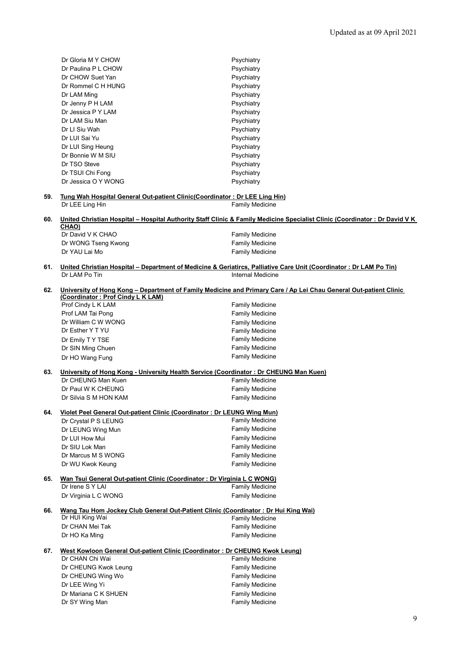|     | Dr Gloria M Y CHOW                                                                                    | Psychiatry                                                                                                                 |  |  |
|-----|-------------------------------------------------------------------------------------------------------|----------------------------------------------------------------------------------------------------------------------------|--|--|
|     | Dr Paulina P L CHOW                                                                                   | Psychiatry                                                                                                                 |  |  |
|     | Dr CHOW Suet Yan                                                                                      | Psychiatry                                                                                                                 |  |  |
|     | Dr Rommel C H HUNG                                                                                    | Psychiatry                                                                                                                 |  |  |
|     |                                                                                                       |                                                                                                                            |  |  |
|     | Dr LAM Ming                                                                                           | Psychiatry                                                                                                                 |  |  |
|     | Dr Jenny P H LAM                                                                                      | Psychiatry                                                                                                                 |  |  |
|     | Dr Jessica P Y LAM                                                                                    | Psychiatry                                                                                                                 |  |  |
|     | Dr LAM Siu Man                                                                                        | Psychiatry                                                                                                                 |  |  |
|     | Dr LI Siu Wah                                                                                         | Psychiatry                                                                                                                 |  |  |
|     | Dr LUI Sai Yu                                                                                         | Psychiatry                                                                                                                 |  |  |
|     | Dr LUI Sing Heung                                                                                     | Psychiatry                                                                                                                 |  |  |
|     | Dr Bonnie W M SIU                                                                                     | Psychiatry                                                                                                                 |  |  |
|     | Dr TSO Steve                                                                                          | Psychiatry                                                                                                                 |  |  |
|     |                                                                                                       | Psychiatry                                                                                                                 |  |  |
|     | Dr TSUI Chi Fong                                                                                      |                                                                                                                            |  |  |
|     | Dr Jessica O Y WONG                                                                                   | Psychiatry                                                                                                                 |  |  |
| 59. | Tung Wah Hospital General Out-patient Clinic (Coordinator: Dr LEE Ling Hin)                           |                                                                                                                            |  |  |
|     | Dr LEE Ling Hin                                                                                       | <b>Family Medicine</b>                                                                                                     |  |  |
|     |                                                                                                       |                                                                                                                            |  |  |
| 60. |                                                                                                       | United Christian Hospital - Hospital Authority Staff Clinic & Family Medicine Specialist Clinic (Coordinator: Dr David V K |  |  |
|     | CHAO)                                                                                                 |                                                                                                                            |  |  |
|     | Dr David V K CHAO                                                                                     | <b>Family Medicine</b>                                                                                                     |  |  |
|     | Dr WONG Tseng Kwong                                                                                   | <b>Family Medicine</b>                                                                                                     |  |  |
|     | Dr YAU Lai Mo                                                                                         | <b>Family Medicine</b>                                                                                                     |  |  |
|     |                                                                                                       |                                                                                                                            |  |  |
| 61. |                                                                                                       | United Christian Hospital – Department of Medicine & Geriatircs, Palliative Care Unit (Coordinator: Dr LAM Po Tin)         |  |  |
|     | Dr LAM Po Tin                                                                                         | <b>Internal Medicine</b>                                                                                                   |  |  |
|     |                                                                                                       |                                                                                                                            |  |  |
| 62. |                                                                                                       | University of Hong Kong - Department of Family Medicine and Primary Care / Ap Lei Chau General Out-patient Clinic          |  |  |
|     | (Coordinator: Prof Cindy L K LAM)                                                                     |                                                                                                                            |  |  |
|     | Prof Cindy L K LAM                                                                                    | <b>Family Medicine</b>                                                                                                     |  |  |
|     | Prof LAM Tai Pong                                                                                     | <b>Family Medicine</b>                                                                                                     |  |  |
|     | Dr William C W WONG                                                                                   | Family Medicine                                                                                                            |  |  |
|     | Dr Esther Y T YU                                                                                      | <b>Family Medicine</b>                                                                                                     |  |  |
|     | Dr Emily TY TSE                                                                                       | <b>Family Medicine</b>                                                                                                     |  |  |
|     | Dr SIN Ming Chuen                                                                                     | <b>Family Medicine</b>                                                                                                     |  |  |
|     |                                                                                                       | <b>Family Medicine</b>                                                                                                     |  |  |
|     | Dr HO Wang Fung                                                                                       |                                                                                                                            |  |  |
| 63. | University of Hong Kong - University Health Service (Coordinator: Dr CHEUNG Man Kuen)                 |                                                                                                                            |  |  |
|     | Dr CHEUNG Man Kuen                                                                                    | Family Medicine                                                                                                            |  |  |
|     | Dr Paul W K CHEUNG                                                                                    | <b>Family Medicine</b>                                                                                                     |  |  |
|     |                                                                                                       |                                                                                                                            |  |  |
|     | Dr Silvia S M HON KAM                                                                                 | Family Medicine                                                                                                            |  |  |
| 64. | Violet Peel General Out-patient Clinic (Coordinator: Dr LEUNG Wing Mun)                               |                                                                                                                            |  |  |
|     | Dr Crystal P S LEUNG                                                                                  | <b>Family Medicine</b>                                                                                                     |  |  |
|     |                                                                                                       | <b>Family Medicine</b>                                                                                                     |  |  |
|     | Dr LEUNG Wing Mun                                                                                     |                                                                                                                            |  |  |
|     | Dr LUI How Mui                                                                                        | <b>Family Medicine</b>                                                                                                     |  |  |
|     | Dr SIU Lok Man                                                                                        | <b>Family Medicine</b>                                                                                                     |  |  |
|     | Dr Marcus M S WONG                                                                                    | <b>Family Medicine</b>                                                                                                     |  |  |
|     | Dr WU Kwok Keung                                                                                      | Family Medicine                                                                                                            |  |  |
|     |                                                                                                       |                                                                                                                            |  |  |
| 65. | Wan Tsui General Out-patient Clinic (Coordinator: Dr Virginia L C WONG)                               |                                                                                                                            |  |  |
|     | Dr Irene S Y LAI                                                                                      | Family Medicine                                                                                                            |  |  |
|     | Dr Virginia L C WONG                                                                                  | Family Medicine                                                                                                            |  |  |
|     |                                                                                                       |                                                                                                                            |  |  |
| 66. | Wang Tau Hom Jockey Club General Out-Patient Clinic (Coordinator: Dr Hui King Wai)<br>Dr HUI King Wai |                                                                                                                            |  |  |
|     |                                                                                                       | <b>Family Medicine</b>                                                                                                     |  |  |
|     | Dr CHAN Mei Tak                                                                                       | <b>Family Medicine</b>                                                                                                     |  |  |
|     | Dr HO Ka Ming                                                                                         | <b>Family Medicine</b>                                                                                                     |  |  |
|     |                                                                                                       |                                                                                                                            |  |  |
| 67. | <u> West Kowloon General Out-patient Clinic (Coordinator: Dr CHEUNG Kwok Leung)</u>                   |                                                                                                                            |  |  |
|     | Dr CHAN Chi Wai                                                                                       | <b>Family Medicine</b>                                                                                                     |  |  |
|     | Dr CHEUNG Kwok Leung                                                                                  | <b>Family Medicine</b>                                                                                                     |  |  |
|     | Dr CHEUNG Wing Wo                                                                                     | <b>Family Medicine</b>                                                                                                     |  |  |
|     | Dr LEE Wing Yi                                                                                        | <b>Family Medicine</b>                                                                                                     |  |  |
|     | Dr Mariana C K SHUEN                                                                                  | Family Medicine                                                                                                            |  |  |
|     | Dr SY Wing Man                                                                                        | <b>Family Medicine</b>                                                                                                     |  |  |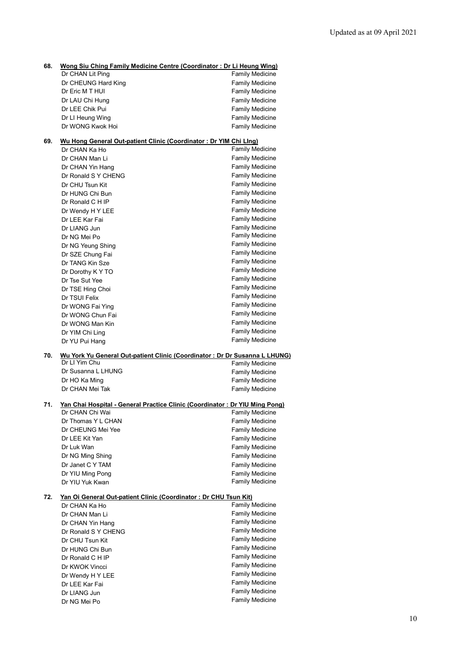| 68. | Wong Siu Ching Family Medicine Centre (Coordinator: Dr Li Heung Wing)<br>Dr CHAN Lit Ping                              | <b>Family Medicine</b> |  |
|-----|------------------------------------------------------------------------------------------------------------------------|------------------------|--|
|     | Dr CHEUNG Hard King                                                                                                    | <b>Family Medicine</b> |  |
|     | Dr Eric M T HUI                                                                                                        | <b>Family Medicine</b> |  |
|     | Dr LAU Chi Hung                                                                                                        |                        |  |
|     |                                                                                                                        | <b>Family Medicine</b> |  |
|     | Dr LEE Chik Pui                                                                                                        | <b>Family Medicine</b> |  |
|     | Dr LI Heung Wing                                                                                                       | <b>Family Medicine</b> |  |
|     | Dr WONG Kwok Hoi                                                                                                       | Family Medicine        |  |
| 69. | Wu Hong General Out-patient Clinic (Coordinator: Dr YIM Chi Llng)                                                      |                        |  |
|     | Dr CHAN Ka Ho                                                                                                          | <b>Family Medicine</b> |  |
|     | Dr CHAN Man Li                                                                                                         | <b>Family Medicine</b> |  |
|     | Dr CHAN Yin Hang                                                                                                       | <b>Family Medicine</b> |  |
|     | Dr Ronald S Y CHENG                                                                                                    | <b>Family Medicine</b> |  |
|     | Dr CHU Tsun Kit                                                                                                        | Family Medicine        |  |
|     | Dr HUNG Chi Bun                                                                                                        | <b>Family Medicine</b> |  |
|     | Dr Ronald C H IP                                                                                                       | <b>Family Medicine</b> |  |
|     | Dr Wendy H Y LEE                                                                                                       | <b>Family Medicine</b> |  |
|     | Dr LEE Kar Fai                                                                                                         | <b>Family Medicine</b> |  |
|     | Dr LIANG Jun                                                                                                           | <b>Family Medicine</b> |  |
|     | Dr NG Mei Po                                                                                                           | <b>Family Medicine</b> |  |
|     | Dr NG Yeung Shing                                                                                                      | <b>Family Medicine</b> |  |
|     | Dr SZE Chung Fai                                                                                                       | <b>Family Medicine</b> |  |
|     | Dr TANG Kin Sze                                                                                                        | <b>Family Medicine</b> |  |
|     | Dr Dorothy K Y TO                                                                                                      | <b>Family Medicine</b> |  |
|     | Dr Tse Sut Yee                                                                                                         | <b>Family Medicine</b> |  |
|     | Dr TSE Hing Choi                                                                                                       | <b>Family Medicine</b> |  |
|     | Dr TSUI Felix                                                                                                          | <b>Family Medicine</b> |  |
|     | Dr WONG Fai Ying                                                                                                       | <b>Family Medicine</b> |  |
|     | Dr WONG Chun Fai                                                                                                       | <b>Family Medicine</b> |  |
|     |                                                                                                                        | <b>Family Medicine</b> |  |
|     | Dr WONG Man Kin                                                                                                        | <b>Family Medicine</b> |  |
|     | Dr YIM Chi Ling                                                                                                        | <b>Family Medicine</b> |  |
|     | Dr YU Pui Hang                                                                                                         |                        |  |
| 70. | Wu York Yu General Out-patient Clinic (Coordinator : Dr Dr Susanna L LHUNG)<br>Dr LI Yim Chu<br><b>Family Medicine</b> |                        |  |
|     | Dr Susanna L LHUNG                                                                                                     | <b>Family Medicine</b> |  |
|     | Dr HO Ka Ming                                                                                                          | <b>Family Medicine</b> |  |
|     | Dr CHAN Mei Tak                                                                                                        | <b>Family Medicine</b> |  |
|     |                                                                                                                        |                        |  |
| 71. | Yan Chai Hospital - General Practice Clinic (Coordinator: Dr YIU Ming Pong)                                            |                        |  |
|     | Dr CHAN Chi Wai                                                                                                        | <b>Family Medicine</b> |  |
|     | Dr Thomas Y L CHAN                                                                                                     | Family Medicine        |  |
|     | Dr CHEUNG Mei Yee                                                                                                      | <b>Family Medicine</b> |  |
|     | Dr LEE Kit Yan                                                                                                         | <b>Family Medicine</b> |  |
|     | Dr Luk Wan                                                                                                             | <b>Family Medicine</b> |  |
|     | Dr NG Ming Shing                                                                                                       | <b>Family Medicine</b> |  |
|     | Dr Janet C Y TAM                                                                                                       | <b>Family Medicine</b> |  |
|     | Dr YIU Ming Pong                                                                                                       | <b>Family Medicine</b> |  |
|     | Dr YIU Yuk Kwan                                                                                                        | <b>Family Medicine</b> |  |
| 72. | Yan Oi General Out-patient Clinic (Coordinator: Dr CHU Tsun Kit)                                                       |                        |  |
|     | Dr CHAN Ka Ho                                                                                                          | <b>Family Medicine</b> |  |
|     | Dr CHAN Man Li                                                                                                         | <b>Family Medicine</b> |  |
|     | Dr CHAN Yin Hang                                                                                                       | <b>Family Medicine</b> |  |
|     | Dr Ronald S Y CHENG                                                                                                    | <b>Family Medicine</b> |  |
|     | Dr CHU Tsun Kit                                                                                                        | <b>Family Medicine</b> |  |
|     | Dr HUNG Chi Bun                                                                                                        | <b>Family Medicine</b> |  |
|     | Dr Ronald C H IP                                                                                                       | <b>Family Medicine</b> |  |
|     | Dr KWOK Vincci                                                                                                         | <b>Family Medicine</b> |  |
|     | Dr Wendy H Y LEE                                                                                                       | <b>Family Medicine</b> |  |
|     |                                                                                                                        | <b>Family Medicine</b> |  |
|     | Dr LEE Kar Fai                                                                                                         | <b>Family Medicine</b> |  |
|     | Dr LIANG Jun                                                                                                           | <b>Family Medicine</b> |  |
|     | Dr NG Mei Po                                                                                                           |                        |  |